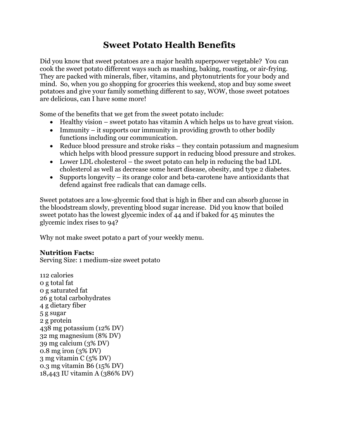# **Sweet Potato Health Benefits**

Did you know that sweet potatoes are a major health superpower vegetable? You can cook the sweet potato different ways such as mashing, baking, roasting, or air-frying. They are packed with minerals, fiber, vitamins, and phytonutrients for your body and mind. So, when you go shopping for groceries this weekend, stop and buy some sweet potatoes and give your family something different to say, WOW, those sweet potatoes are delicious, can I have some more!

Some of the benefits that we get from the sweet potato include:

- Healthy vision sweet potato has vitamin A which helps us to have great vision.
- Immunity it supports our immunity in providing growth to other bodily functions including our communication.
- Reduce blood pressure and stroke risks they contain potassium and magnesium which helps with blood pressure support in reducing blood pressure and strokes.
- Lower LDL cholesterol the sweet potato can help in reducing the bad LDL cholesterol as well as decrease some heart disease, obesity, and type 2 diabetes.
- Supports longevity its orange color and beta-carotene have antioxidants that defend against free radicals that can damage cells.

Sweet potatoes are a low-glycemic food that is high in fiber and can absorb glucose in the bloodstream slowly, preventing blood sugar increase. Did you know that boiled sweet potato has the lowest glycemic index of 44 and if baked for 45 minutes the glycemic index rises to 94?

Why not make sweet potato a part of your weekly menu.

## **Nutrition Facts:**

Serving Size: 1 medium-size sweet potato

112 calories 0 g total fat 0 g saturated fat 26 g total carbohydrates 4 g dietary fiber 5 g sugar 2 g protein 438 mg potassium (12% DV) 32 mg magnesium (8% DV) 39 mg calcium (3% DV) 0.8 mg iron (3% DV) 3 mg vitamin C (5% DV) 0.3 mg vitamin B6 (15% DV) 18,443 IU vitamin A (386% DV)